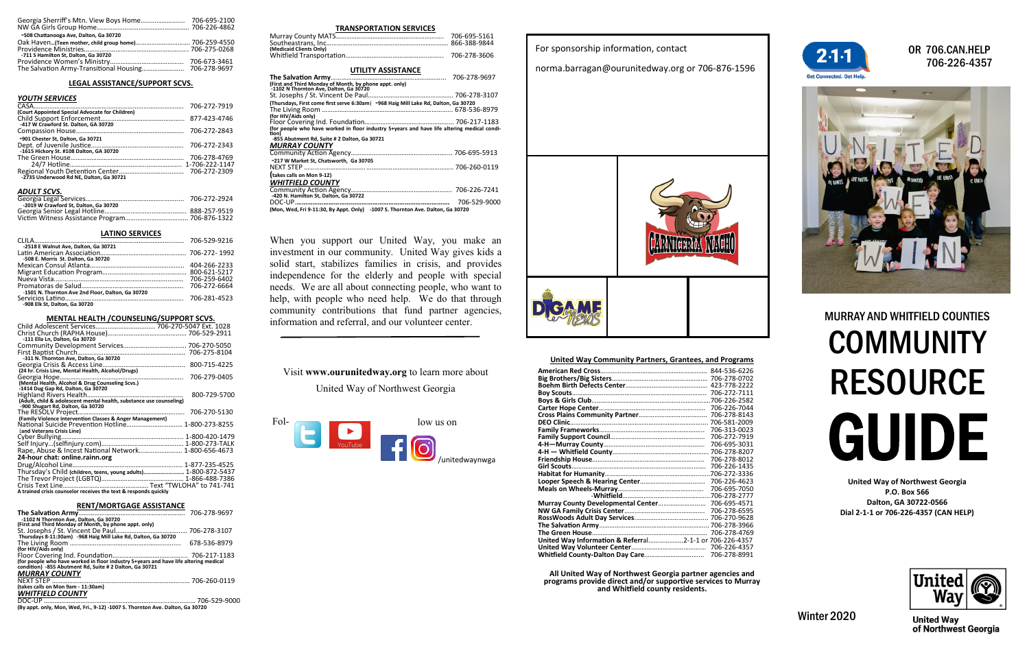| -508 Chattanooga Ave, Dalton, Ga 30720 |  |
|----------------------------------------|--|
|                                        |  |
|                                        |  |
| -711 S Hamilton St, Dalton, Ga 30720   |  |
|                                        |  |
|                                        |  |

## **LEGAL ASSISTANCE/SUPPORT SCVS.**

## *YOUTH SERVICES*

|                                                 | 706-272-7919 |
|-------------------------------------------------|--------------|
| (Court Appointed Special Advocate for Children) |              |
|                                                 |              |
|                                                 |              |
| -901 Chester St, Dalton, Ga 30721               |              |
| -1615 Hickory St. #108 Dalton, GA 30720         | 706-272-2343 |
|                                                 | 706-278-4769 |
|                                                 |              |
| -2735 Underwood Rd NE, Dalton, Ga 30721         |              |
|                                                 |              |

#### *ADULT SCVS.*

| -2019 W Crawford St. Dalton. Ga 30720 |  |
|---------------------------------------|--|
|                                       |  |
|                                       |  |

# **LATINO SERVICES**

| -2518 E Walnut Ave, Dalton, Ga 30721              |  |
|---------------------------------------------------|--|
|                                                   |  |
| -508 E. Morris St. Dalton, Ga 30720               |  |
|                                                   |  |
|                                                   |  |
|                                                   |  |
|                                                   |  |
| -1501 N. Thornton Ave 2nd Floor, Dalton, Ga 30720 |  |
|                                                   |  |
| -908 Flk St. Dalton, Ga 30720                     |  |

## **MENTAL HEALTH /COUNSELING/SUPPORT SCVS.**

| -111 Ella Ln, Dalton, Ga 30720                                      |
|---------------------------------------------------------------------|
|                                                                     |
|                                                                     |
| -311 N. Thornton Ave, Dalton, Ga 30720                              |
|                                                                     |
| (24 hr. Crisis Line, Mental Health, Alcohol/Drugs)                  |
| 706-279-0405                                                        |
|                                                                     |
| -1414 Dug Gap Rd, Dalton, Ga 30720                                  |
| 800-729-5700                                                        |
| (Adult, child & adolescent mental health, substance use counseling) |
| -900 Shugart Rd, Dalton, Ga 30720                                   |
|                                                                     |
| (Family Violence Intervention Classes & Anger Management)           |
| National Suicide Prevention Hotline 1-800-273-8255                  |
| (and Veterans Crisis Line)                                          |
|                                                                     |
|                                                                     |
| Rape, Abuse & Incest National Network 1-800-656-4673                |
| 24-hour chat: online.rainn.org                                      |
|                                                                     |
|                                                                     |
| Thursday's Child (children, teens, young adults) 1-800-872-5437     |
|                                                                     |
|                                                                     |
| A trained crisis counselor receives the text & responds quickly     |

#### **RENT/MORTGAGE ASSISTANCE**

| -1102 N Thornton Ave, Dalton, Ga 30720                                               |              |
|--------------------------------------------------------------------------------------|--------------|
| (First and Third Monday of Month, by phone appt. only)                               |              |
|                                                                                      |              |
| Thursdays 8-11:30am) -968 Haig Mill Lake Rd, Dalton, Ga 30720                        |              |
|                                                                                      | 678-536-8979 |
| (for HIV/Aids only)                                                                  |              |
|                                                                                      |              |
| (for people who have worked in floor industry 5+years and have life altering medical |              |
| condition) -855 Abutment Rd, Suite # 2 Dalton, Ga 30721                              |              |
| <b>MURRAY COUNTY</b>                                                                 |              |
|                                                                                      |              |
| (takes calls on Mon 9am - 11:30am)                                                   |              |
| <b>WHITFIELD COUNTY</b>                                                              |              |
| $DOP$ $ID$                                                                           | 70C FOO OOOO |

DOC-UP …………………………………………………………………………… 706-529-9000 **(By appt. only, Mon, Wed, Fri., 9-12) -1007 S. Thornton Ave. Dalton, Ga 30720**

# OR 706.CAN.HELP 706-226-4357



# MURRAY AND WHITFIELD COUNTIES **COMMUNITY** RESOURCE GUIDE

**United Way of Northwest Georgia P.O. Box 566 Dalton, GA 30722-0566 Dial 2-1-1 or 706-226-4357 (CAN HELP)**



**United Way** of Northwest Georgia

Winter 2020

## **TRANSPORTATION SERVICES**

| (Medicaid Clients Only) |  |
|-------------------------|--|
|                         |  |
|                         |  |

# **UTILITY ASSISTANCE The Salvation Army**………………………………………………………... 706-278-9697 **(First and Third Monday of Month, by phone appt. only) -1102 N Thornton Ave, Dalton, Ga 30720** St. Josephs / St. Vincent De Paul…………………………………………. 706-278-3107 **(Thursdays, First come first serve 6:30am**) **-968 Haig Mill Lake Rd, Dalton, Ga 30720** The Living Room ………………………………………………………………... 678-536-8979 **(for HIV/Aids only)**  Floor Covering Ind. Foundation…………………………………………... 706-217-1183 **(for people who have worked in floor industry 5+years and have life altering medical condition) -855 Abutment Rd, Suite # 2 Dalton, Ga 30721** *MURRAY COUNTY*  Community Action Agency……………………………………………….... 706-695-5913 **-217 W Market St, Chatsworth, Ga 30705**  $706 - 260 - 0119$ **(takes calls on Mon 9-12)**  *WHITFIELD COUNTY*  Community Action Agency…………………………………………………. 706-226-7241 **-420 N. Hamilton St, Dalton, Ga 30722** DOC-UP.**…………………………...…………………………………………….** 706-529-9000

**(Mon, Wed, Fri 9-11:30, By Appt. Only) -1007 S. Thornton Ave. Dalton, Ga 30720**

When you support our United Way, you make an investment in our community. United Way gives kids a solid start, stabilizes families in crisis, and provides independence for the elderly and people with special needs. We are all about connecting people, who want to help, with people who need help. We do that through community contributions that fund partner agencies, information and referral, and our volunteer center.

# Visit **www.ourunitedway.org** to learn more about

# United Way of Northwest Georgia



# For sponsorship information, contact

norma.barragan@ourunitedway.org or 706-876-1596



## **United Way Community Partners, Grantees, and Programs**

|                                                        | 844-536-6226 |
|--------------------------------------------------------|--------------|
|                                                        |              |
|                                                        | 423-778-2222 |
|                                                        | 706-272-7111 |
|                                                        |              |
|                                                        | 706-226-7044 |
|                                                        | 706-278-8143 |
|                                                        | 706-581-2009 |
|                                                        | 706-313-0023 |
|                                                        | 706-272-7919 |
|                                                        | 706-695-3031 |
|                                                        | 706-278-8207 |
|                                                        | 706-278-8012 |
|                                                        | 706-226-1435 |
|                                                        |              |
|                                                        | 706-226-4623 |
|                                                        | 706-695-7050 |
|                                                        |              |
| Murray County Developmental Center                     | 706-695-4571 |
|                                                        | 706-278-6595 |
|                                                        | 706-270-9628 |
|                                                        |              |
|                                                        | 706-278-4769 |
| United Way Information & Referral2-1-1 or 706-226-4357 |              |
|                                                        | 706-226-4357 |
|                                                        | 706-278-8991 |

**All United Way of Northwest Georgia partner agencies and programs provide direct and/or supportive services to Murray and Whitfield county residents.**